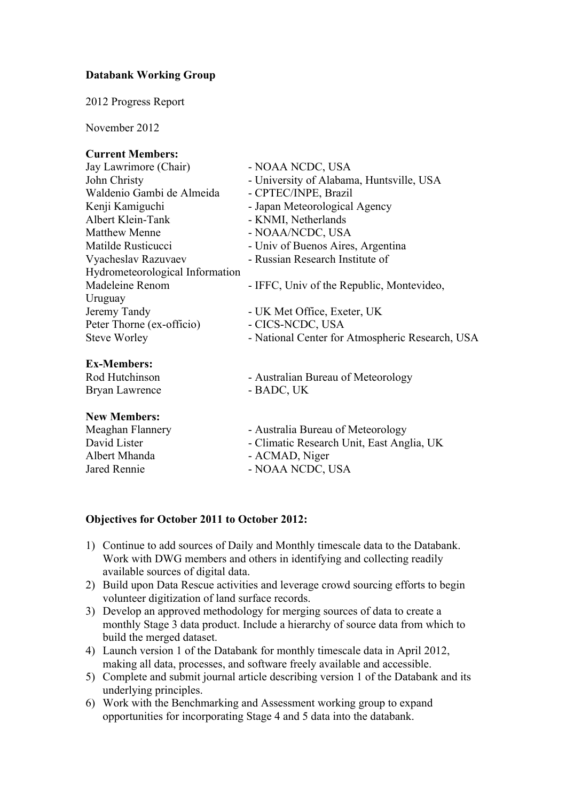## **Databank Working Group**

2012 Progress Report

November 2012

### **Current Members:**

| Carrent Members.                |                                                 |
|---------------------------------|-------------------------------------------------|
| Jay Lawrimore (Chair)           | - NOAA NCDC, USA                                |
| John Christy                    | - University of Alabama, Huntsville, USA        |
| Waldenio Gambi de Almeida       | - CPTEC/INPE, Brazil                            |
| Kenji Kamiguchi                 | - Japan Meteorological Agency                   |
| Albert Klein-Tank               | - KNMI, Netherlands                             |
| <b>Matthew Menne</b>            | - NOAA/NCDC, USA                                |
| Matilde Rusticucci              | - Univ of Buenos Aires, Argentina               |
| Vyacheslav Razuvaev             | - Russian Research Institute of                 |
| Hydrometeorological Information |                                                 |
| Madeleine Renom                 | - IFFC, Univ of the Republic, Montevideo,       |
| Uruguay                         |                                                 |
| Jeremy Tandy                    | - UK Met Office, Exeter, UK                     |
| Peter Thorne (ex-officio)       | - CICS-NCDC, USA                                |
| <b>Steve Worley</b>             | - National Center for Atmospheric Research, USA |
| <b>Ex-Members:</b>              |                                                 |
| Rod Hutchinson                  | - Australian Bureau of Meteorology              |
| Bryan Lawrence                  | - BADC, UK                                      |
| <b>New Members:</b>             |                                                 |
| Meaghan Flannery                | - Australia Bureau of Meteorology               |
| David Lister                    | - Climatic Research Unit, East Anglia, UK       |
| Albert Mhanda                   | - ACMAD, Niger                                  |

Jared Rennie - NOAA NCDC, USA

## **Objectives for October 2011 to October 2012:**

- 1) Continue to add sources of Daily and Monthly timescale data to the Databank. Work with DWG members and others in identifying and collecting readily available sources of digital data.
- 2) Build upon Data Rescue activities and leverage crowd sourcing efforts to begin volunteer digitization of land surface records.
- 3) Develop an approved methodology for merging sources of data to create a monthly Stage 3 data product. Include a hierarchy of source data from which to build the merged dataset.
- 4) Launch version 1 of the Databank for monthly timescale data in April 2012, making all data, processes, and software freely available and accessible.
- 5) Complete and submit journal article describing version 1 of the Databank and its underlying principles.
- 6) Work with the Benchmarking and Assessment working group to expand opportunities for incorporating Stage 4 and 5 data into the databank.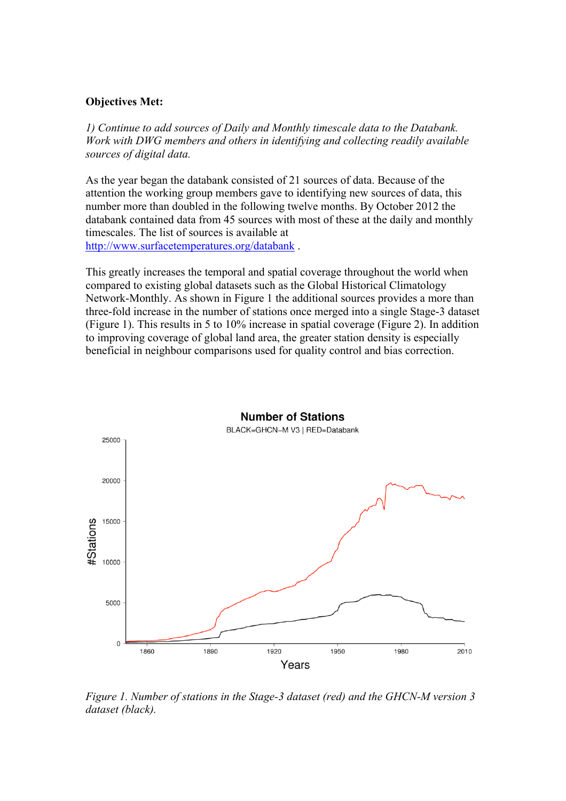### **Objectives Met:**

*1) Continue to add sources of Daily and Monthly timescale data to the Databank. Work with DWG members and others in identifying and collecting readily available sources of digital data.*

As the year began the databank consisted of 21 sources of data. Because of the attention the working group members gave to identifying new sources of data, this number more than doubled in the following twelve months. By October 2012 the databank contained data from 45 sources with most of these at the daily and monthly timescales. The list of sources is available at http://www.surfacetemperatures.org/databank .

This greatly increases the temporal and spatial coverage throughout the world when compared to existing global datasets such as the Global Historical Climatology Network-Monthly. As shown in Figure 1 the additional sources provides a more than three-fold increase in the number of stations once merged into a single Stage-3 dataset (Figure 1). This results in 5 to 10% increase in spatial coverage (Figure 2). In addition to improving coverage of global land area, the greater station density is especially beneficial in neighbour comparisons used for quality control and bias correction.



*Figure 1. Number of stations in the Stage-3 dataset (red) and the GHCN-M version 3 dataset (black).*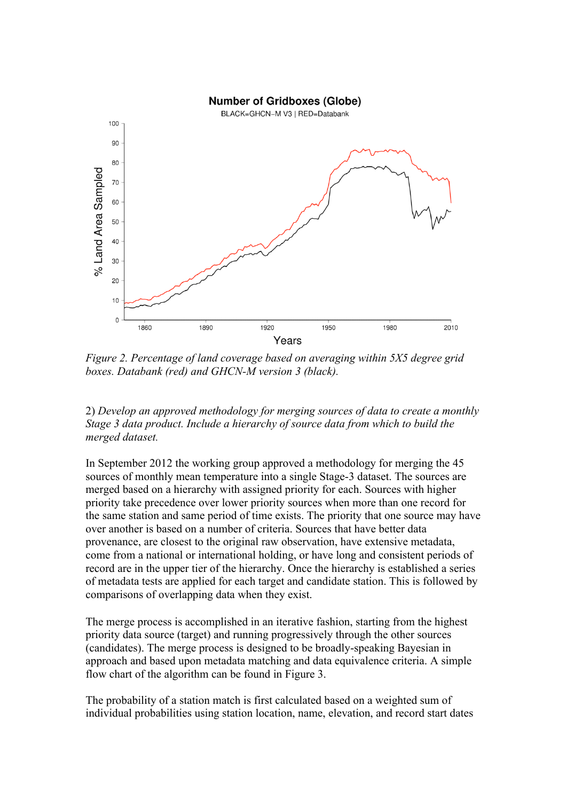#### **Number of Gridboxes (Globe)**



*Figure 2. Percentage of land coverage based on averaging within 5X5 degree grid boxes. Databank (red) and GHCN-M version 3 (black).*

2) *Develop an approved methodology for merging sources of data to create a monthly Stage 3 data product. Include a hierarchy of source data from which to build the merged dataset.*

In September 2012 the working group approved a methodology for merging the 45 sources of monthly mean temperature into a single Stage-3 dataset. The sources are merged based on a hierarchy with assigned priority for each. Sources with higher priority take precedence over lower priority sources when more than one record for the same station and same period of time exists. The priority that one source may have over another is based on a number of criteria. Sources that have better data provenance, are closest to the original raw observation, have extensive metadata, come from a national or international holding, or have long and consistent periods of record are in the upper tier of the hierarchy. Once the hierarchy is established a series of metadata tests are applied for each target and candidate station. This is followed by comparisons of overlapping data when they exist.

The merge process is accomplished in an iterative fashion, starting from the highest priority data source (target) and running progressively through the other sources (candidates). The merge process is designed to be broadly-speaking Bayesian in approach and based upon metadata matching and data equivalence criteria. A simple flow chart of the algorithm can be found in Figure 3.

The probability of a station match is first calculated based on a weighted sum of individual probabilities using station location, name, elevation, and record start dates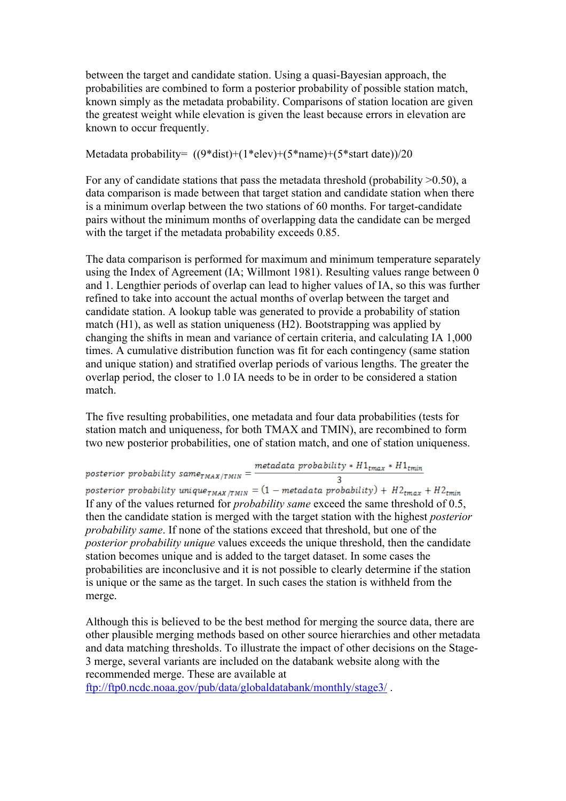between the target and candidate station. Using a quasi-Bayesian approach, the probabilities are combined to form a posterior probability of possible station match, known simply as the metadata probability. Comparisons of station location are given the greatest weight while elevation is given the least because errors in elevation are known to occur frequently.

## Metadata probability= ((9\*dist)+(1\*elev)+(5\*name)+(5\*start date))/20

For any of candidate stations that pass the metadata threshold (probability  $>0.50$ ), a data comparison is made between that target station and candidate station when there is a minimum overlap between the two stations of 60 months. For target-candidate pairs without the minimum months of overlapping data the candidate can be merged with the target if the metadata probability exceeds 0.85.

The data comparison is performed for maximum and minimum temperature separately using the Index of Agreement (IA; Willmont 1981). Resulting values range between 0 and 1. Lengthier periods of overlap can lead to higher values of IA, so this was further refined to take into account the actual months of overlap between the target and candidate station. A lookup table was generated to provide a probability of station match (H1), as well as station uniqueness (H2). Bootstrapping was applied by changing the shifts in mean and variance of certain criteria, and calculating IA 1,000 times. A cumulative distribution function was fit for each contingency (same station and unique station) and stratified overlap periods of various lengths. The greater the overlap period, the closer to 1.0 IA needs to be in order to be considered a station match.

The five resulting probabilities, one metadata and four data probabilities (tests for station match and uniqueness, for both TMAX and TMIN), are recombined to form two new posterior probabilities, one of station match, and one of station uniqueness.

posterior probability same<sub>TMAX/TMIN</sub> =  $\frac{metadata \text{ probability } * H1_{tmax} * H1_{tmin}}{3}$ posterior probability unique<sub>TMAX/TMIN</sub> =  $(1 - \text{metadata probability}) + H2_{tmax} + H2_{tmin}$ If any of the values returned for *probability same* exceed the same threshold of 0.5, then the candidate station is merged with the target station with the highest *posterior probability same*. If none of the stations exceed that threshold, but one of the *posterior probability unique* values exceeds the unique threshold, then the candidate station becomes unique and is added to the target dataset. In some cases the probabilities are inconclusive and it is not possible to clearly determine if the station is unique or the same as the target. In such cases the station is withheld from the merge.

Although this is believed to be the best method for merging the source data, there are other plausible merging methods based on other source hierarchies and other metadata and data matching thresholds. To illustrate the impact of other decisions on the Stage-3 merge, several variants are included on the databank website along with the recommended merge. These are available at

ftp://ftp0.ncdc.noaa.gov/pub/data/globaldatabank/monthly/stage3/ .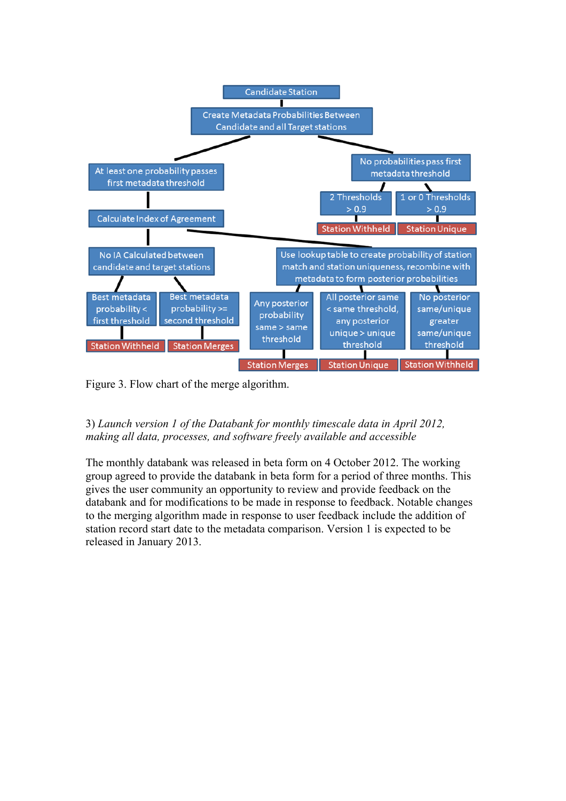

Figure 3. Flow chart of the merge algorithm.

## 3) *Launch version 1 of the Databank for monthly timescale data in April 2012, making all data, processes, and software freely available and accessible*

The monthly databank was released in beta form on 4 October 2012. The working group agreed to provide the databank in beta form for a period of three months. This gives the user community an opportunity to review and provide feedback on the databank and for modifications to be made in response to feedback. Notable changes to the merging algorithm made in response to user feedback include the addition of station record start date to the metadata comparison. Version 1 is expected to be released in January 2013.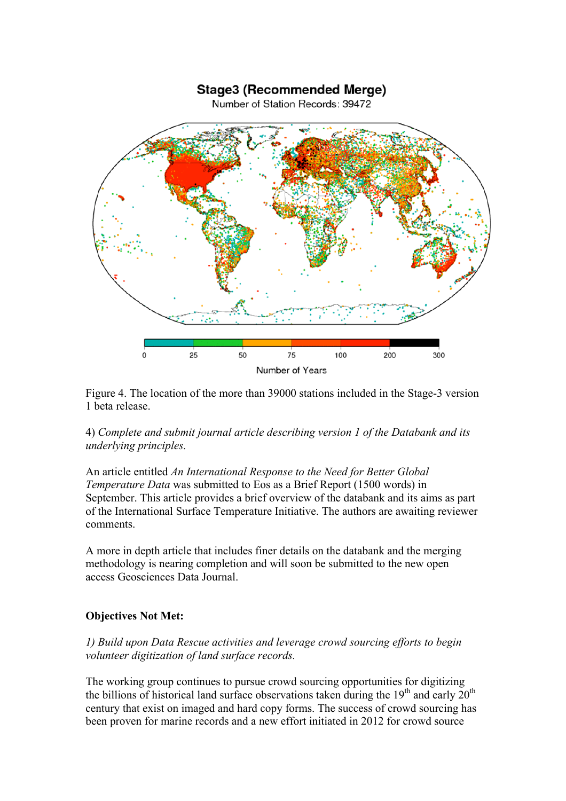# **Stage3 (Recommended Merge)** Number of Station Records: 39472  $75$ 100  $\overline{0}$ 25 50 200 300 Number of Years

Figure 4. The location of the more than 39000 stations included in the Stage-3 version 1 beta release.

# 4) *Complete and submit journal article describing version 1 of the Databank and its underlying principles.*

An article entitled *An International Response to the Need for Better Global Temperature Data* was submitted to Eos as a Brief Report (1500 words) in September. This article provides a brief overview of the databank and its aims as part of the International Surface Temperature Initiative. The authors are awaiting reviewer comments.

A more in depth article that includes finer details on the databank and the merging methodology is nearing completion and will soon be submitted to the new open access Geosciences Data Journal.

## **Objectives Not Met:**

## *1) Build upon Data Rescue activities and leverage crowd sourcing efforts to begin volunteer digitization of land surface records.*

The working group continues to pursue crowd sourcing opportunities for digitizing the billions of historical land surface observations taken during the 19<sup>th</sup> and early  $20<sup>th</sup>$ century that exist on imaged and hard copy forms. The success of crowd sourcing has been proven for marine records and a new effort initiated in 2012 for crowd source